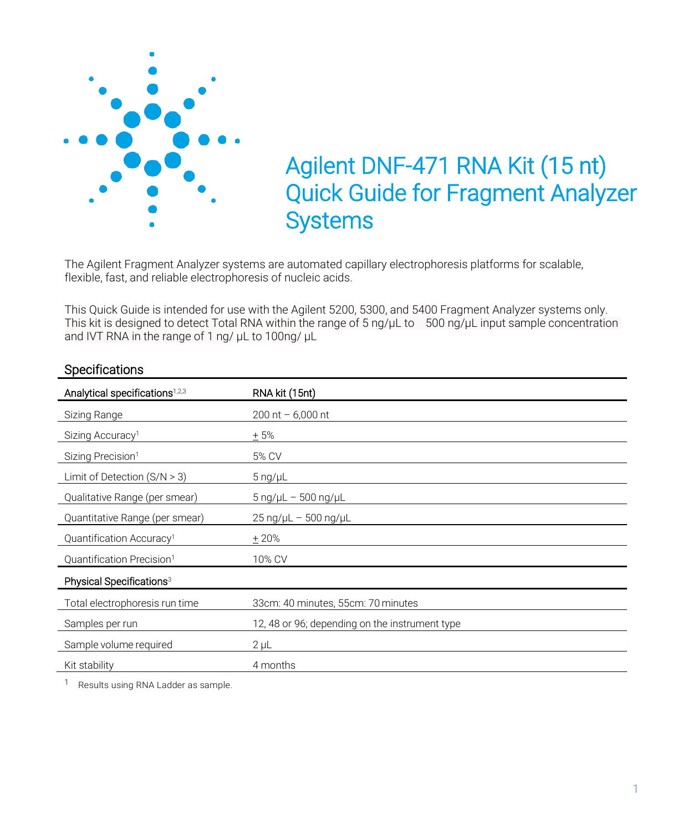

The Agilent Fragment Analyzer systems are automated capillary electrophoresis platforms for scalable, flexible, fast, and reliable electrophoresis of nucleic acids.

This Quick Guide is intended for use with the Agilent 5200, 5300, and 5400 Fragment Analyzer systems only. This kit is designed to detect Total RNA within the range of 5 ng/μL to 500 ng/μL input sample concentration and IVT RNA in the range of 1 ng/ μL to 100ng/ μL

| Analytical specifications <sup>1,2,3</sup> | RNA kit (15nt)                                 |
|--------------------------------------------|------------------------------------------------|
| Sizing Range                               | 200 nt $-6,000$ nt                             |
| Sizing Accuracy <sup>1</sup>               | $+5%$                                          |
| Sizing Precision <sup>1</sup>              | 5% CV                                          |
| Limit of Detection $(S/N > 3)$             | $5$ ng/ $\mu$ L                                |
| Qualitative Range (per smear)              | $5$ ng/ $\mu$ L - 500 ng/ $\mu$ L              |
| Quantitative Range (per smear)             | $25 \text{ ng/}\mu L - 500 \text{ ng/}\mu L$   |
| Quantification Accuracy <sup>1</sup>       | $+20%$                                         |
| Quantification Precision <sup>1</sup>      | 10% CV                                         |
| Physical Specifications <sup>3</sup>       |                                                |
| Total electrophoresis run time             | 33cm: 40 minutes, 55cm: 70 minutes             |
| Samples per run                            | 12, 48 or 96; depending on the instrument type |
| Sample volume required                     | $2 \mu L$                                      |
| Kit stability                              | 4 months                                       |
|                                            |                                                |

#### **Specifications**

<sup>1</sup> Results using RNA Ladder as sample.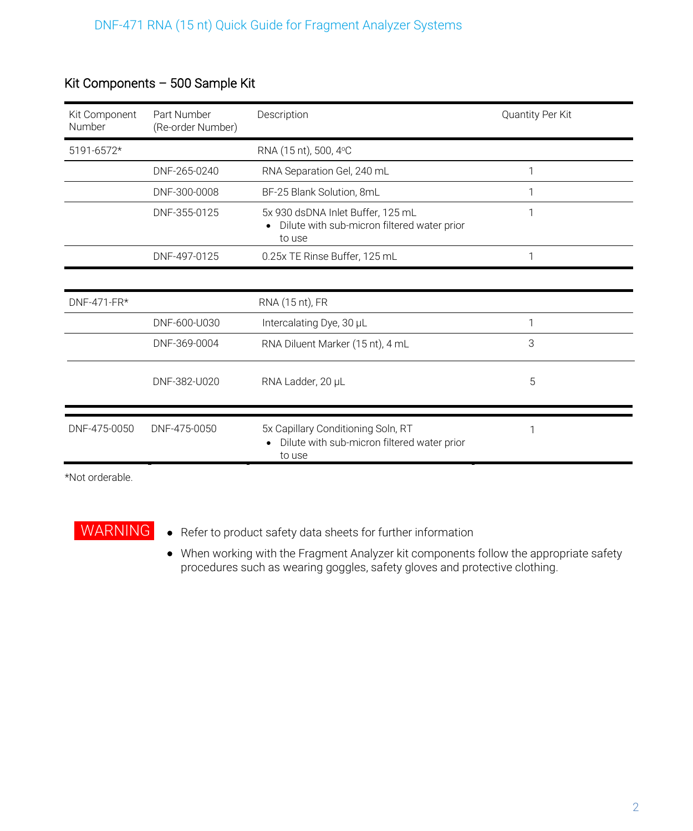| Kit Component<br>Number | Part Number<br>(Re-order Number) | Description                                                                                 | Quantity Per Kit |
|-------------------------|----------------------------------|---------------------------------------------------------------------------------------------|------------------|
| 5191-6572*              |                                  | RNA (15 nt), 500, 4°C                                                                       |                  |
|                         | DNF-265-0240                     | RNA Separation Gel, 240 mL                                                                  | 1                |
|                         | DNF-300-0008                     | BF-25 Blank Solution, 8mL                                                                   | 1                |
|                         | DNF-355-0125                     | 5x 930 dsDNA Inlet Buffer, 125 mL<br>Dilute with sub-micron filtered water prior<br>to use  | 1                |
|                         | DNF-497-0125                     | 0.25x TE Rinse Buffer, 125 mL                                                               |                  |
|                         |                                  |                                                                                             |                  |
| DNF-471-FR*             |                                  | RNA (15 nt), FR                                                                             |                  |
|                         | DNF-600-U030                     | Intercalating Dye, 30 µL                                                                    | 1                |
|                         | DNF-369-0004                     | RNA Diluent Marker (15 nt), 4 mL                                                            | 3                |
|                         | DNF-382-U020                     | RNA Ladder, 20 µL                                                                           | 5                |
| DNF-475-0050            | DNF-475-0050                     | 5x Capillary Conditioning Soln, RT<br>Dilute with sub-micron filtered water prior<br>to use |                  |

# Kit Components – 500 Sample Kit

\*Not orderable.

- WARNING Refer to product safety data sheets for further information
	- When working with the Fragment Analyzer kit components follow the appropriate safety procedures such as wearing goggles, safety gloves and protective clothing.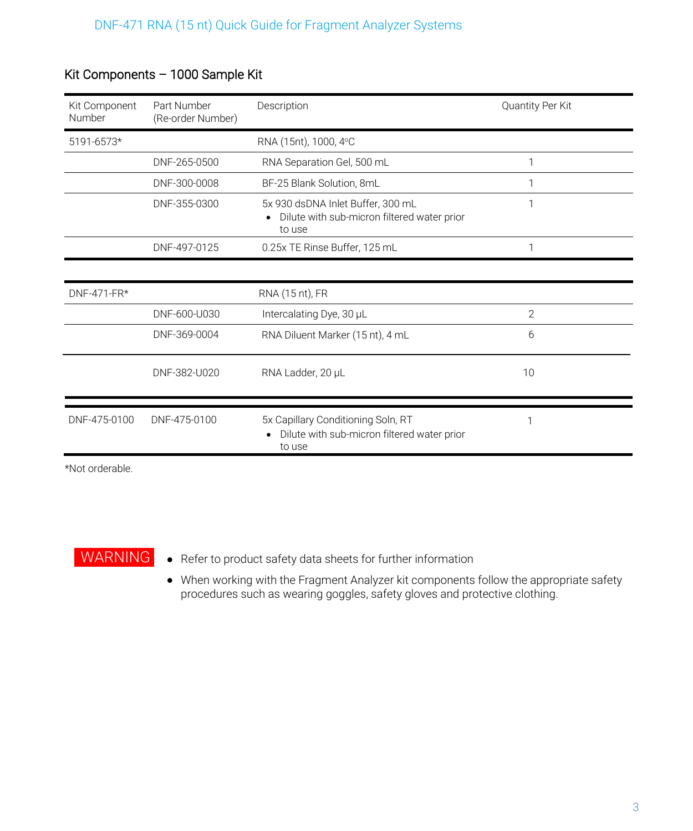| Kit Component<br><b>Number</b> | Part Number<br>(Re-order Number) | Description                                                                                 | Quantity Per Kit |
|--------------------------------|----------------------------------|---------------------------------------------------------------------------------------------|------------------|
| 5191-6573*                     |                                  | RNA (15nt), 1000, 4°C                                                                       |                  |
|                                | DNF-265-0500                     | RNA Separation Gel, 500 mL                                                                  | 1                |
|                                | DNF-300-0008                     | BF-25 Blank Solution, 8mL                                                                   | 1                |
|                                | DNF-355-0300                     | 5x 930 dsDNA Inlet Buffer, 300 mL<br>Dilute with sub-micron filtered water prior<br>to use  | 1                |
|                                | DNF-497-0125                     | 0.25x TE Rinse Buffer, 125 mL                                                               |                  |
|                                |                                  |                                                                                             |                  |
| DNF-471-FR*                    |                                  | RNA (15 nt), FR                                                                             |                  |
|                                | DNF-600-U030                     | Intercalating Dye, 30 µL                                                                    | $\overline{2}$   |
|                                | DNF-369-0004                     | RNA Diluent Marker (15 nt), 4 mL                                                            | 6                |
|                                | DNF-382-U020                     | RNA Ladder, 20 µL                                                                           | 10               |
|                                |                                  |                                                                                             |                  |
| DNF-475-0100                   | DNF-475-0100                     | 5x Capillary Conditioning Soln, RT<br>Dilute with sub-micron filtered water prior<br>to use | 1                |

# Kit Components – 1000 Sample Kit

\*Not orderable.



WARNING • Refer to product safety data sheets for further information

• When working with the Fragment Analyzer kit components follow the appropriate safety procedures such as wearing goggles, safety gloves and protective clothing.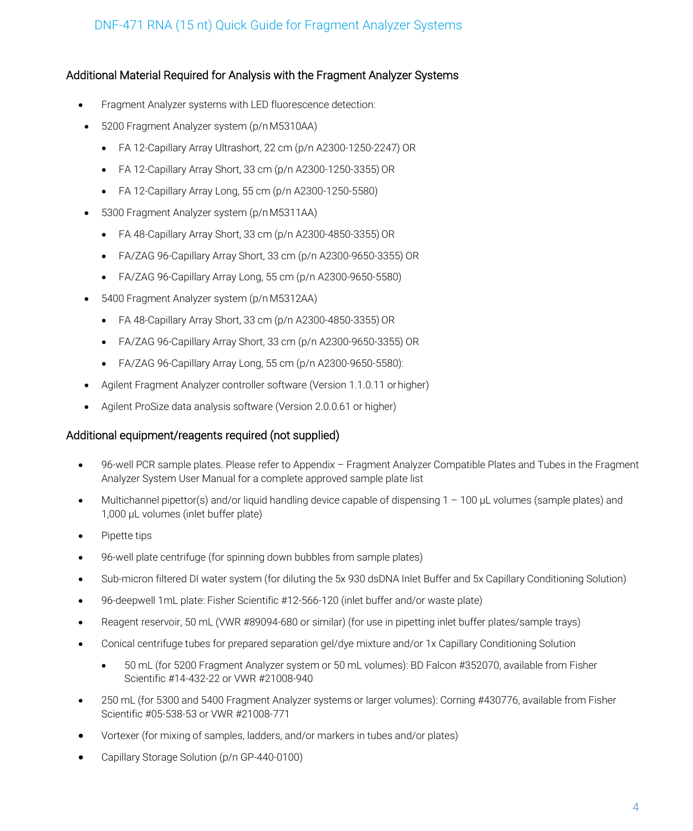#### Additional Material Required for Analysis with the Fragment Analyzer Systems

- Fragment Analyzer systems with LED fluorescence detection:
- 5200 Fragment Analyzer system (p/nM5310AA)
	- FA 12-Capillary Array Ultrashort, 22 cm (p/n A2300-1250-2247) OR
	- $\bullet$  FA 12-Capillary Array Short, 33 cm (p/n A2300-1250-3355) OR
	- FA 12-Capillary Array Long, 55 cm (p/n A2300-1250-5580)
- 5300 Fragment Analyzer system (p/nM5311AA)
	- FA 48-Capillary Array Short, 33 cm (p/n A2300-4850-3355) OR
	- FA/ZAG 96-Capillary Array Short, 33 cm (p/n A2300-9650-3355) OR
	- FA/ZAG 96-Capillary Array Long, 55 cm (p/n A2300-9650-5580)
- 5400 Fragment Analyzer system (p/nM5312AA)
	- $\bullet$  FA 48-Capillary Array Short, 33 cm (p/n A2300-4850-3355) OR
	- FA/ZAG 96-Capillary Array Short, 33 cm (p/n A2300-9650-3355) OR
	- FA/ZAG 96-Capillary Array Long, 55 cm (p/n A2300-9650-5580):
- Agilent Fragment Analyzer controller software (Version 1.1.0.11 orhigher)
- Agilent ProSize data analysis software (Version 2.0.0.61 or higher)

#### Additional equipment/reagents required (not supplied)

- 96-well PCR sample plates. Please refer to Appendix Fragment Analyzer Compatible Plates and Tubes in the Fragment Analyzer System User Manual for a complete approved sample plate list
- Multichannel pipettor(s) and/or liquid handling device capable of dispensing 1 100 µL volumes (sample plates) and 1,000 µL volumes (inlet buffer plate)
- Pipette tips
- 96-well plate centrifuge (for spinning down bubbles from sample plates)
- Sub-micron filtered DI water system (for diluting the 5x 930 dsDNA Inlet Buffer and 5x Capillary Conditioning Solution)
- 96-deepwell 1mL plate: Fisher Scientific #12-566-120 (inlet buffer and/or waste plate)
- Reagent reservoir, 50 mL (VWR #89094-680 or similar) (for use in pipetting inlet buffer plates/sample trays)
- Conical centrifuge tubes for prepared separation gel/dye mixture and/or 1x Capillary Conditioning Solution
	- 50 mL (for 5200 Fragment Analyzer system or 50 mL volumes): BD Falcon #352070, available from Fisher Scientific #14-432-22 or VWR #21008-940
- 250 mL (for 5300 and 5400 Fragment Analyzer systems or larger volumes): Corning #430776, available from Fisher Scientific #05-538-53 or VWR #21008-771
- Vortexer (for mixing of samples, ladders, and/or markers in tubes and/or plates)
- Capillary Storage Solution (p/n GP-440-0100)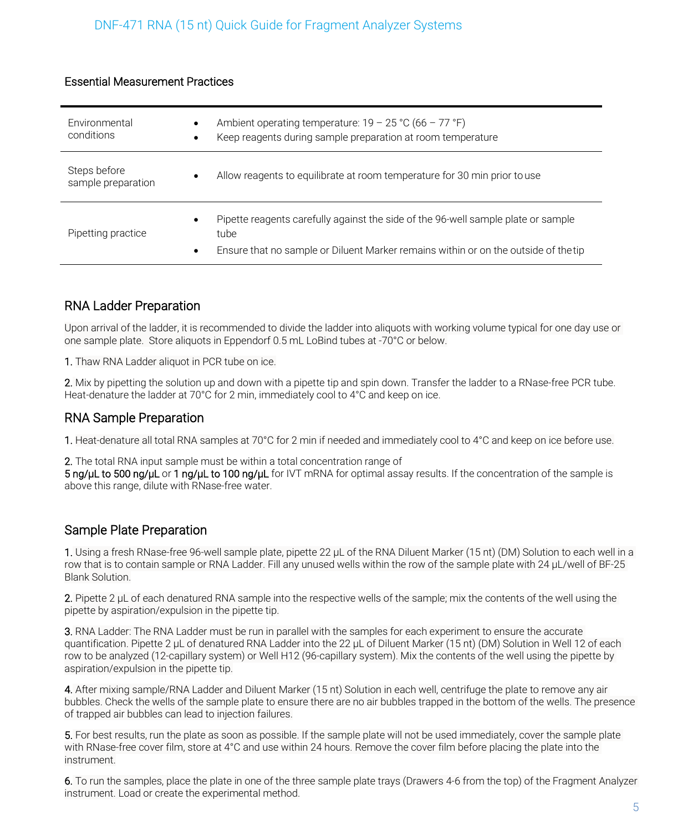#### Essential Measurement Practices

| Environmental<br>conditions        | $\bullet$ | Ambient operating temperature: $19 - 25 \degree C (66 - 77 \degree F)$<br>Keep reagents during sample preparation at room temperature                                            |
|------------------------------------|-----------|----------------------------------------------------------------------------------------------------------------------------------------------------------------------------------|
| Steps before<br>sample preparation | ٠         | Allow reagents to equilibrate at room temperature for 30 min prior to use                                                                                                        |
| Pipetting practice                 | ٠<br>٠    | Pipette reagents carefully against the side of the 96-well sample plate or sample<br>tube<br>Ensure that no sample or Diluent Marker remains within or on the outside of the tip |

# RNA Ladder Preparation

Upon arrival of the ladder, it is recommended to divide the ladder into aliquots with working volume typical for one day use or one sample plate. Store aliquots in Eppendorf 0.5 mL LoBind tubes at -70°C or below.

1. Thaw RNA Ladder aliquot in PCR tube on ice.

2. Mix by pipetting the solution up and down with a pipette tip and spin down. Transfer the ladder to a RNase-free PCR tube. Heat-denature the ladder at 70°C for 2 min, immediately cool to 4°C and keep on ice.

#### RNA Sample Preparation

1. Heat-denature all total RNA samples at 70°C for 2 min if needed and immediately cool to 4°C and keep on ice before use.

2. The total RNA input sample must be within a total concentration range of 5 ng/µL to 500 ng/µL or 1 ng/µL to 100 ng/µL for IVT mRNA for optimal assay results. If the concentration of the sample is above this range, dilute with RNase-free water.

# Sample Plate Preparation

1. Using a fresh RNase-free 96-well sample plate, pipette 22 μL of the RNA Diluent Marker (15 nt) (DM) Solution to each well in a row that is to contain sample or RNA Ladder. Fill any unused wells within the row of the sample plate with 24 μL/well of BF-25 Blank Solution.

2. Pipette 2  $\mu$ L of each denatured RNA sample into the respective wells of the sample; mix the contents of the well using the pipette by aspiration/expulsion in the pipette tip.

3. RNA Ladder: The RNA Ladder must be run in parallel with the samples for each experiment to ensure the accurate quantification. Pipette 2 μL of denatured RNA Ladder into the 22 μL of Diluent Marker (15 nt) (DM) Solution in Well 12 of each row to be analyzed (12-capillary system) or Well H12 (96-capillary system). Mix the contents of the well using the pipette by aspiration/expulsion in the pipette tip.

4. After mixing sample/RNA Ladder and Diluent Marker (15 nt) Solution in each well, centrifuge the plate to remove any air bubbles. Check the wells of the sample plate to ensure there are no air bubbles trapped in the bottom of the wells. The presence of trapped air bubbles can lead to injection failures.

5. For best results, run the plate as soon as possible. If the sample plate will not be used immediately, cover the sample plate with RNase-free cover film, store at 4°C and use within 24 hours. Remove the cover film before placing the plate into the instrument.

6. To run the samples, place the plate in one of the three sample plate trays (Drawers 4-6 from the top) of the Fragment Analyzer instrument. Load or create the experimental method.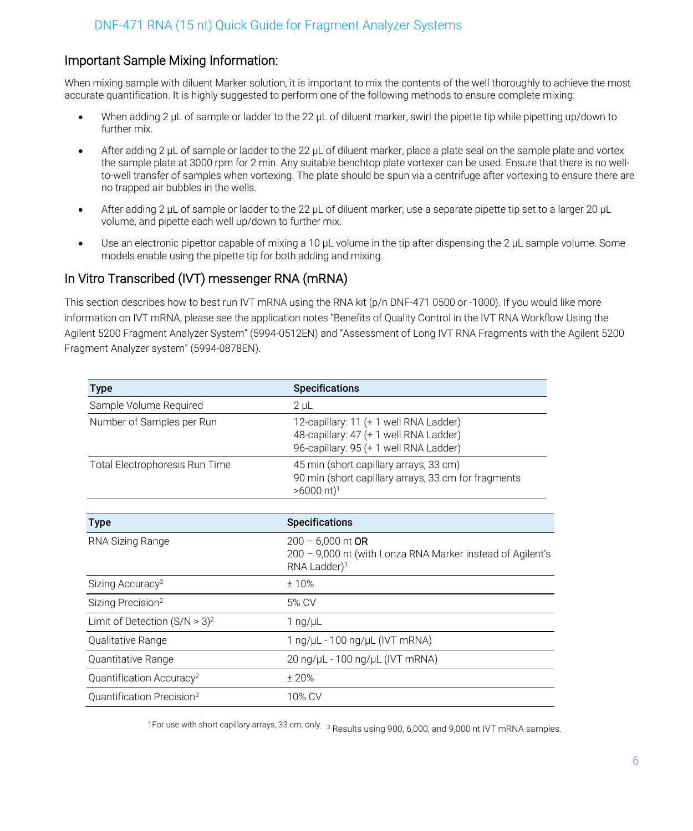# Important Sample Mixing Information:

When mixing sample with diluent Marker solution, it is important to mix the contents of the well thoroughly to achieve the most accurate quantification. It is highly suggested to perform one of the following methods to ensure complete mixing:

- When adding 2 μL of sample or ladder to the 22 μL of diluent marker, swirl the pipette tip while pipetting up/down to further mix.
- After adding 2 μL of sample or ladder to the 22 μL of diluent marker, place a plate seal on the sample plate and vortex the sample plate at 3000 rpm for 2 min. Any suitable benchtop plate vortexer can be used. Ensure that there is no wellto-well transfer of samples when vortexing. The plate should be spun via a centrifuge after vortexing to ensure there are no trapped air bubbles in the wells.
- After adding 2 μL of sample or ladder to the 22 μL of diluent marker, use a separate pipette tip set to a larger 20 μL volume, and pipette each well up/down to further mix.
- Use an electronic pipettor capable of mixing a 10 μL volume in the tip after dispensing the 2 μL sample volume. Some models enable using the pipette tip for both adding and mixing.

# In Vitro Transcribed (IVT) messenger RNA (mRNA)

This section describes how to best run IVT mRNA using the RNA kit (p/n DNF-471 0500 or -1000). If you would like more information on IVT mRNA, please see the application notes "Benefits of Quality Control in the IVT RNA Workflow Using the Agilent 5200 Fragment Analyzer System" (5994-0512EN) and "Assessment of Long IVT RNA Fragments with the Agilent 5200 Fragment Analyzer system" (5994-0878EN).

| <b>Type</b>                           | <b>Specifications</b>                                                                                                      |
|---------------------------------------|----------------------------------------------------------------------------------------------------------------------------|
| Sample Volume Required                | $2 \mu L$                                                                                                                  |
| Number of Samples per Run             | 12-capillary: 11 (+ 1 well RNA Ladder)<br>48-capillary: 47 (+ 1 well RNA Ladder)<br>96-capillary: 95 (+ 1 well RNA Ladder) |
| Total Electrophoresis Run Time        | 45 min (short capillary arrays, 33 cm)<br>90 min (short capillary arrays, 33 cm for fragments<br>$>6000$ nt) <sup>1</sup>  |
| <b>Type</b>                           | <b>Specifications</b>                                                                                                      |
| RNA Sizing Range                      | $200 - 6,000$ nt OR<br>200 - 9,000 nt (with Lonza RNA Marker instead of Agilent's<br>RNA Ladder) <sup>1</sup>              |
| Sizing Accuracy <sup>2</sup>          | $+10%$                                                                                                                     |
| Sizing Precision <sup>2</sup>         | 5% CV                                                                                                                      |
| Limit of Detection $(S/N > 3)^2$      | 1 ng/ $\mu$ L                                                                                                              |
| Qualitative Range                     | 1 ng/µL - 100 ng/µL (IVT mRNA)                                                                                             |
| Quantitative Range                    | 20 ng/µL - 100 ng/µL (IVT mRNA)                                                                                            |
| Quantification Accuracy <sup>2</sup>  | ± 20%                                                                                                                      |
| Quantification Precision <sup>2</sup> | 10% CV                                                                                                                     |

1For use with short capillary arrays, 33 cm, only. 2 Results using 900, 6,000, and 9,000 nt IVT mRNA samples.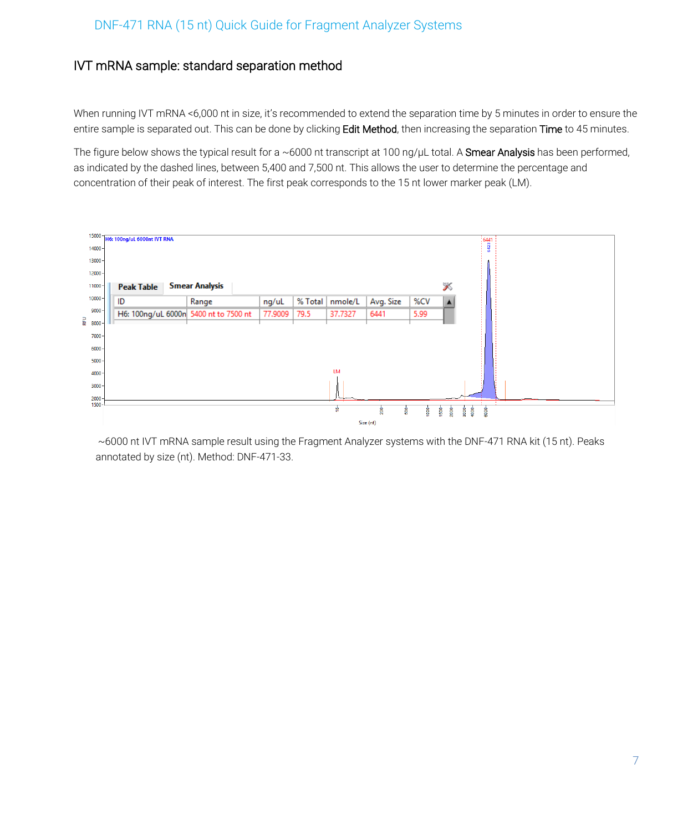# IVT mRNA sample: standard separation method

When running IVT mRNA <6,000 nt in size, it's recommended to extend the separation time by 5 minutes in order to ensure the entire sample is separated out. This can be done by clicking Edit Method, then increasing the separation Time to 45 minutes.

The figure below shows the typical result for a ~6000 nt transcript at 100 ng/µL total. A Smear Analysis has been performed, as indicated by the dashed lines, between 5,400 and 7,500 nt. This allows the user to determine the percentage and concentration of their peak of interest. The first peak corresponds to the 15 nt lower marker peak (LM).



~6000 nt IVT mRNA sample result using the Fragment Analyzer systems with the DNF-471 RNA kit (15 nt). Peaks annotated by size (nt). Method: DNF-471-33.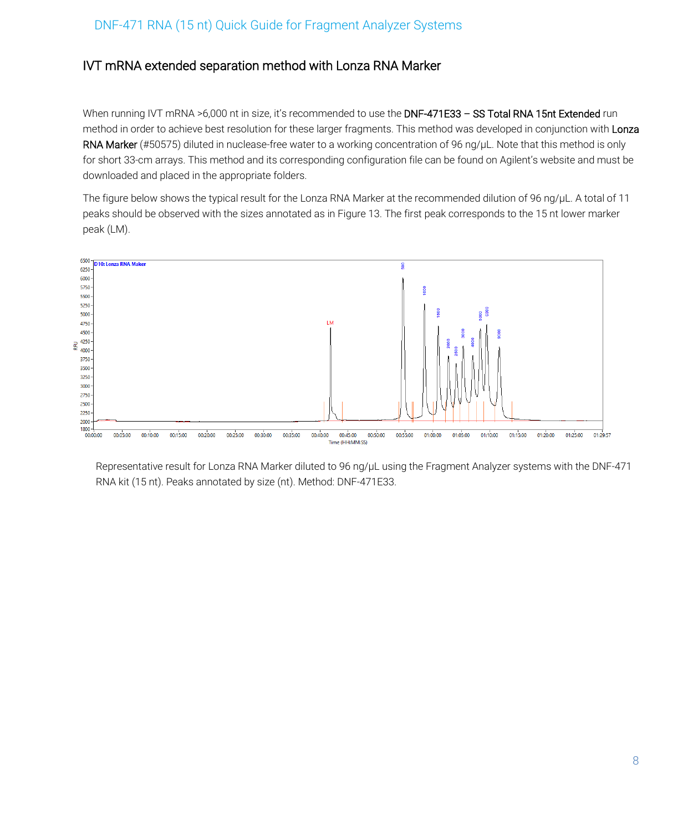# IVT mRNA extended separation method with Lonza RNA Marker

When running IVT mRNA >6,000 nt in size, it's recommended to use the DNF-471E33 - SS Total RNA 15nt Extended run method in order to achieve best resolution for these larger fragments. This method was developed in conjunction with Lonza RNA Marker (#50575) diluted in nuclease-free water to a working concentration of 96 ng/µL. Note that this method is only for short 33-cm arrays. This method and its corresponding configuration file can be found on Agilent's website and must be downloaded and placed in the appropriate folders.

The figure below shows the typical result for the Lonza RNA Marker at the recommended dilution of 96 ng/µL. A total of 11 peaks should be observed with the sizes annotated as in Figure 13. The first peak corresponds to the 15 nt lower marker peak (LM).



Representative result for Lonza RNA Marker diluted to 96 ng/µL using the Fragment Analyzer systems with the DNF-471 RNA kit (15 nt). Peaks annotated by size (nt). Method: DNF-471E33.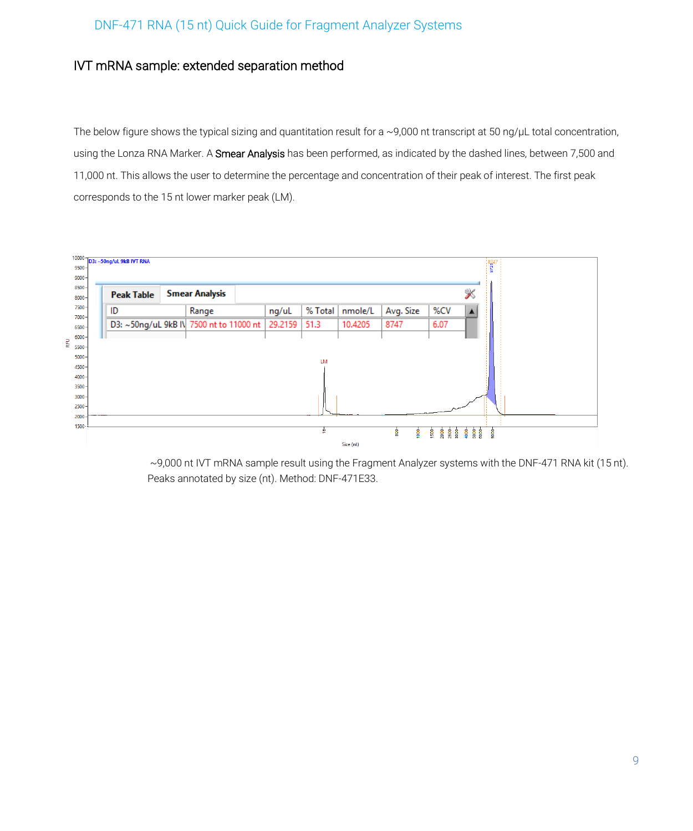### IVT mRNA sample: extended separation method

The below figure shows the typical sizing and quantitation result for a ~9,000 nt transcript at 50 ng/µL total concentration, using the Lonza RNA Marker. A Smear Analysis has been performed, as indicated by the dashed lines, between 7,500 and 11,000 nt. This allows the user to determine the percentage and concentration of their peak of interest. The first peak corresponds to the 15 nt lower marker peak (LM).



~9,000 nt IVT mRNA sample result using the Fragment Analyzer systems with the DNF-471 RNA kit (15 nt). Peaks annotated by size (nt). Method: DNF-471E33.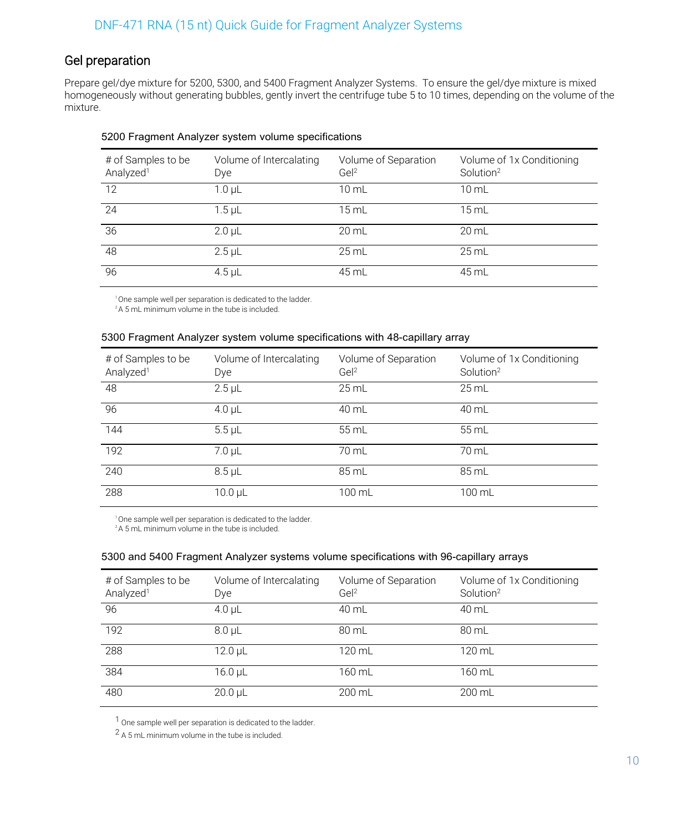# Gel preparation

Prepare gel/dye mixture for 5200, 5300, and 5400 Fragment Analyzer Systems. To ensure the gel/dye mixture is mixed homogeneously without generating bubbles, gently invert the centrifuge tube 5 to 10 times, depending on the volume of the mixture.

| # of Samples to be<br>Analyzed <sup>1</sup> | Volume of Intercalating<br><b>Dye</b> | Volume of Separation<br>GeI <sup>2</sup> | Volume of 1x Conditioning<br>Solution <sup>2</sup> |
|---------------------------------------------|---------------------------------------|------------------------------------------|----------------------------------------------------|
| 12                                          | 1.0 <sub>µ</sub> L                    | 10 mL                                    | $10 \mathrm{m}$ L                                  |
| 24                                          | $1.5$ µL                              | 15 mL                                    | $15 \text{ mL}$                                    |
| 36                                          | $2.0 \mu L$                           | $20 \mathrm{m}$                          | $20 \mathrm{m}$ L                                  |
| 48                                          | $2.5$ µL                              | $25$ mL                                  | $25$ mL                                            |
| 96                                          | $4.5$ µL                              | 45 mL                                    | 45 mL                                              |

#### 5200 Fragment Analyzer system volume specifications

<sup>1</sup> One sample well per separation is dedicated to the ladder.

#### <sup>2</sup>A 5 mL minimum volume in the tube is included.

#### 5300 Fragment Analyzer system volume specifications with 48-capillary array

| # of Samples to be<br>Analyzed <sup>1</sup> | Volume of Intercalating<br>Dye | Volume of Separation<br>Ge <sup>2</sup> | Volume of 1x Conditioning<br>Solution <sup>2</sup> |
|---------------------------------------------|--------------------------------|-----------------------------------------|----------------------------------------------------|
| 48                                          | $2.5$ µL                       | $25$ mL                                 | $25$ mL                                            |
| 96                                          | $4.0 \mu L$                    | 40 mL                                   | 40 mL                                              |
| 144                                         | $5.5 \mu L$                    | 55 mL                                   | 55 mL                                              |
| 192                                         | $7.0 \mu L$                    | 70 mL                                   | 70 mL                                              |
| 240                                         | $8.5$ µL                       | 85 mL                                   | 85 mL                                              |
| 288                                         | 10.0 µL                        | 100 mL                                  | 100 mL                                             |

<sup>1</sup> One sample well per separation is dedicated to the ladder. <sup>2</sup>A 5 mL minimum volume in the tube is included.

#### 5300 and 5400 Fragment Analyzer systems volume specifications with 96-capillary arrays

| # of Samples to be<br>Analyzed <sup>1</sup> | Volume of Intercalating<br>Dye | Volume of Separation<br>Ge <sup>2</sup> | Volume of 1x Conditioning<br>Solution <sup>2</sup> |
|---------------------------------------------|--------------------------------|-----------------------------------------|----------------------------------------------------|
| 96                                          | $4.0$ µL                       | 40 mL                                   | 40 mL                                              |
| 192                                         | $8.0 \mu L$                    | 80 mL                                   | 80 mL                                              |
| 288                                         | $12.0 \mu L$                   | 120 mL                                  | 120 mL                                             |
| 384                                         | $16.0 \mu L$                   | 160 mL                                  | 160 mL                                             |
| 480                                         | $20.0 \mu L$                   | 200 mL                                  | 200 mL                                             |

1 One sample well per separation is dedicated to the ladder.

2 A 5 mL minimum volume in the tube is included.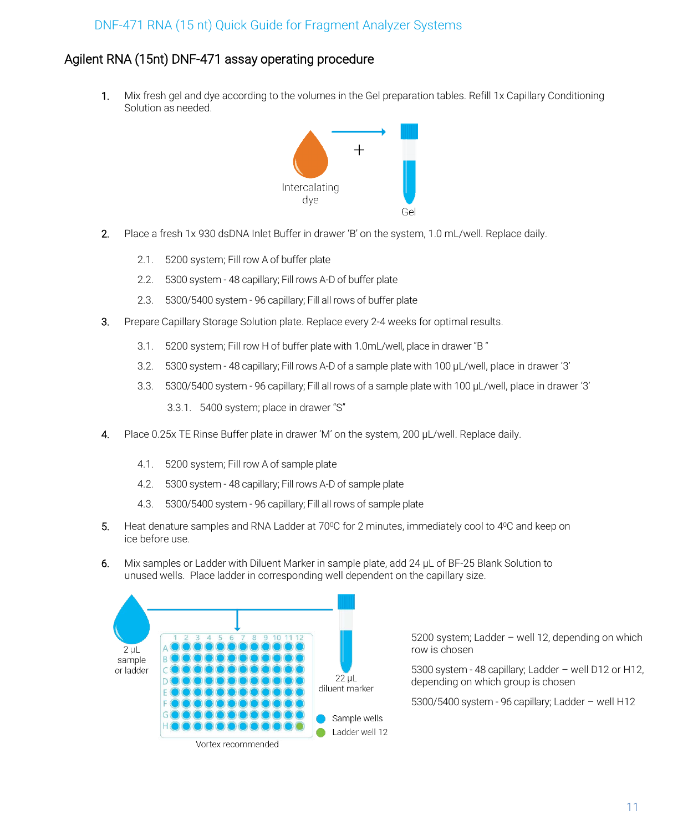# Agilent RNA (15nt) DNF-471 assay operating procedure

1. Mix fresh gel and dye according to the volumes in the Gel preparation tables. Refill 1x Capillary Conditioning Solution as needed.



- 2. Place a fresh 1x 930 dsDNA Inlet Buffer in drawer 'B' on the system, 1.0 mL/well. Replace daily.
	- 2.1. 5200 system; Fill row A of buffer plate
	- 2.2. 5300 system 48 capillary; Fill rows A-D of buffer plate
	- 2.3. 5300/5400 system 96 capillary; Fill all rows of buffer plate
- 3. Prepare Capillary Storage Solution plate. Replace every 2-4 weeks for optimal results.
	- 3.1. 5200 system; Fill row H of buffer plate with 1.0mL/well, place in drawer "B "
	- 3.2. 5300 system 48 capillary; Fill rows A-D of a sample plate with 100 µL/well, place in drawer '3'
	- 3.3. 5300/5400 system 96 capillary; Fill all rows of a sample plate with 100 µL/well, place in drawer '3'

3.3.1. 5400 system; place in drawer "S"

- 4. Place 0.25x TE Rinse Buffer plate in drawer 'M' on the system, 200 µL/well. Replace daily.
	- 4.1. 5200 system; Fill row A of sample plate
	- 4.2. 5300 system 48 capillary; Fill rows A-D of sample plate
	- 4.3. 5300/5400 system 96 capillary; Fill all rows of sample plate
- 5. Heat denature samples and RNA Ladder at 70°C for 2 minutes, immediately cool to 4°C and keep on ice before use.
- 6. Mix samples or Ladder with Diluent Marker in sample plate, add 24 µL of BF-25 Blank Solution to unused wells. Place ladder in corresponding well dependent on the capillary size.



5200 system; Ladder – well 12, depending on which row is chosen

5300 system - 48 capillary; Ladder – well D12 or H12, depending on which group is chosen

5300/5400 system - 96 capillary; Ladder – well H12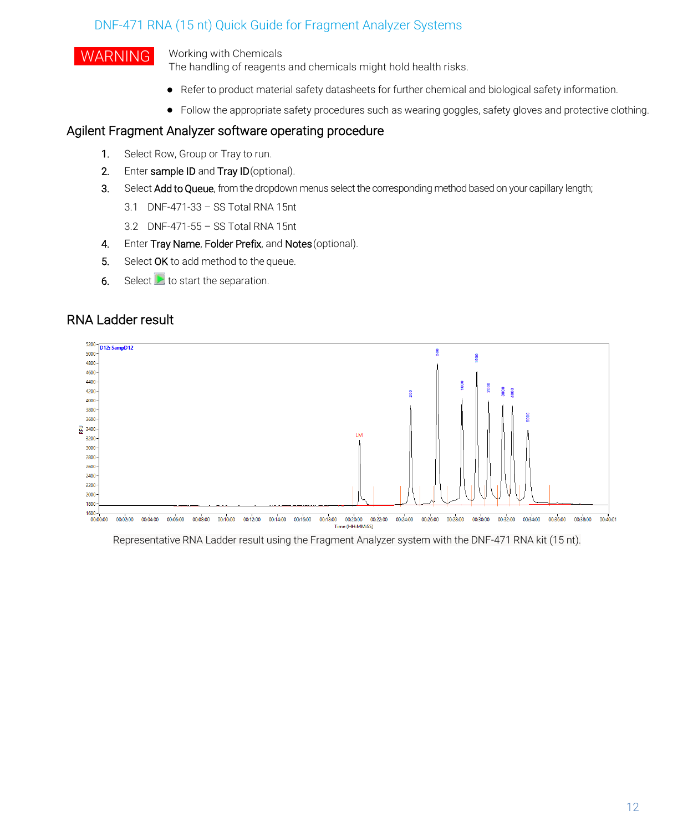# WARNING Working with Chemicals

The handling of reagents and chemicals might hold health risks.

- Refer to product material safety datasheets for further chemical and biological safety information.
- Follow the appropriate safety procedures such as wearing goggles, safety gloves and protective clothing.

#### Agilent Fragment Analyzer software operating procedure

- 1. Select Row, Group or Tray to run.
- 2. Enter sample ID and Tray ID (optional).
- 3. Select Add to Queue, from the dropdown menus select the corresponding method based on your capillary length;
	- 3.1 DNF-471-33 SS Total RNA 15nt
	- 3.2 DNF-471-55 SS Total RNA 15nt
- 4. Enter Tray Name, Folder Prefix, and Notes (optional).
- 5. Select OK to add method to the queue.
- 6. Select  $\triangleright$  to start the separation.

### RNA Ladder result



Representative RNA Ladder result using the Fragment Analyzer system with the DNF-471 RNA kit (15 nt).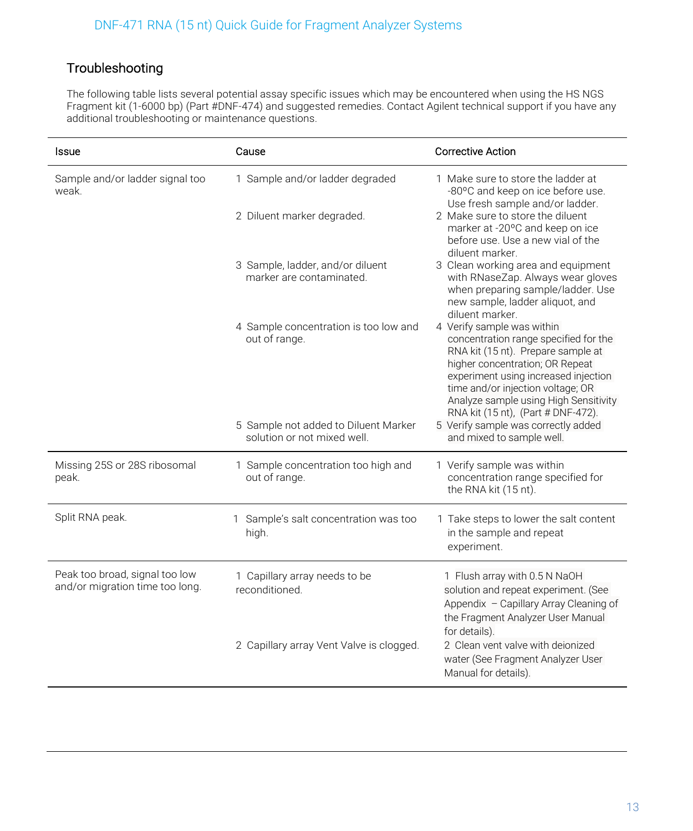# Troubleshooting

The following table lists several potential assay specific issues which may be encountered when using the HS NGS Fragment kit (1-6000 bp) (Part #DNF-474) and suggested remedies. Contact Agilent technical support if you have any additional troubleshooting or maintenance questions.

| Issue                                                             | Cause                                                               | <b>Corrective Action</b>                                                                                                                                                                                                                                                                                 |
|-------------------------------------------------------------------|---------------------------------------------------------------------|----------------------------------------------------------------------------------------------------------------------------------------------------------------------------------------------------------------------------------------------------------------------------------------------------------|
| Sample and/or ladder signal too<br>weak.                          | 1 Sample and/or ladder degraded                                     | 1 Make sure to store the ladder at<br>-80°C and keep on ice before use.<br>Use fresh sample and/or ladder.                                                                                                                                                                                               |
|                                                                   | 2 Diluent marker degraded.                                          | 2 Make sure to store the diluent<br>marker at -20°C and keep on ice<br>before use. Use a new vial of the<br>diluent marker.                                                                                                                                                                              |
|                                                                   | 3 Sample, ladder, and/or diluent<br>marker are contaminated.        | 3 Clean working area and equipment<br>with RNaseZap. Always wear gloves<br>when preparing sample/ladder. Use<br>new sample, ladder aliquot, and<br>diluent marker.                                                                                                                                       |
|                                                                   | 4 Sample concentration is too low and<br>out of range.              | 4 Verify sample was within<br>concentration range specified for the<br>RNA kit (15 nt). Prepare sample at<br>higher concentration; OR Repeat<br>experiment using increased injection<br>time and/or injection voltage; OR<br>Analyze sample using High Sensitivity<br>RNA kit (15 nt), (Part # DNF-472). |
|                                                                   | 5 Sample not added to Diluent Marker<br>solution or not mixed well. | 5 Verify sample was correctly added<br>and mixed to sample well.                                                                                                                                                                                                                                         |
| Missing 25S or 28S ribosomal<br>peak.                             | 1 Sample concentration too high and<br>out of range.                | 1 Verify sample was within<br>concentration range specified for<br>the RNA kit (15 nt).                                                                                                                                                                                                                  |
| Split RNA peak.                                                   | 1 Sample's salt concentration was too<br>high.                      | 1 Take steps to lower the salt content<br>in the sample and repeat<br>experiment.                                                                                                                                                                                                                        |
| Peak too broad, signal too low<br>and/or migration time too long. | 1 Capillary array needs to be<br>reconditioned.                     | 1 Flush array with 0.5 N NaOH<br>solution and repeat experiment. (See<br>Appendix - Capillary Array Cleaning of<br>the Fragment Analyzer User Manual<br>for details).                                                                                                                                    |
|                                                                   | 2 Capillary array Vent Valve is clogged.                            | 2 Clean vent valve with deionized<br>water (See Fragment Analyzer User<br>Manual for details).                                                                                                                                                                                                           |